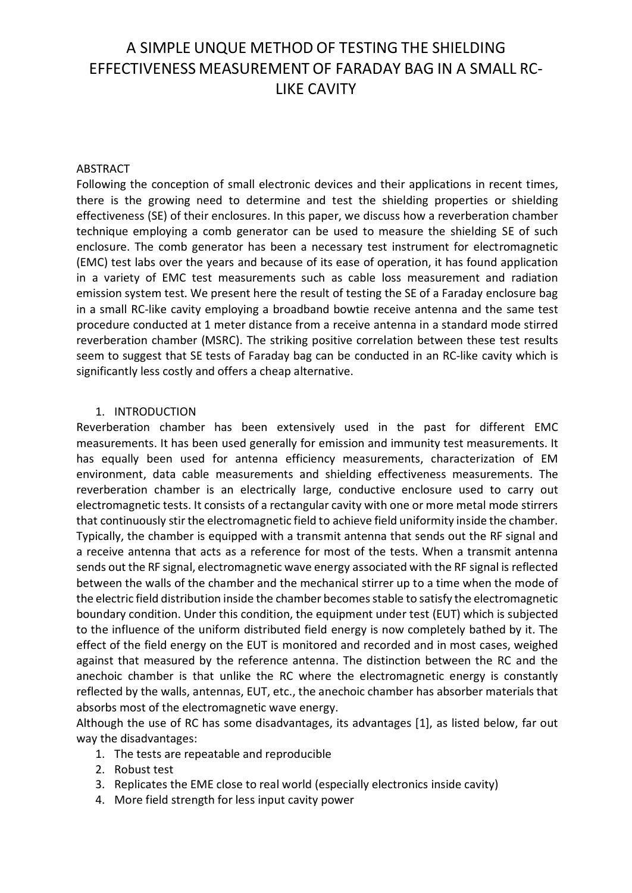# A SIMPLE UNQUE METHOD OF TESTING THE SHIELDING EFFECTIVENESS MEASUREMENT OF FARADAY BAG IN A SMALL RC-LIKE CAVITY

#### ABSTRACT

Following the conception of small electronic devices and their applications in recent times, there is the growing need to determine and test the shielding properties or shielding effectiveness (SE) of their enclosures. In this paper, we discuss how a reverberation chamber technique employing a comb generator can be used to measure the shielding SE of such enclosure. The comb generator has been a necessary test instrument for electromagnetic (EMC) test labs over the years and because of its ease of operation, it has found application in a variety of EMC test measurements such as cable loss measurement and radiation emission system test. We present here the result of testing the SE of a Faraday enclosure bag in a small RC-like cavity employing a broadband bowtie receive antenna and the same test procedure conducted at 1 meter distance from a receive antenna in a standard mode stirred reverberation chamber (MSRC). The striking positive correlation between these test results seem to suggest that SE tests of Faraday bag can be conducted in an RC-like cavity which is significantly less costly and offers a cheap alternative.

#### 1. INTRODUCTION

Reverberation chamber has been extensively used in the past for different EMC measurements. It has been used generally for emission and immunity test measurements. It has equally been used for antenna efficiency measurements, characterization of EM environment, data cable measurements and shielding effectiveness measurements. The reverberation chamber is an electrically large, conductive enclosure used to carry out electromagnetic tests. It consists of a rectangular cavity with one or more metal mode stirrers that continuously stir the electromagnetic field to achieve field uniformity inside the chamber. Typically, the chamber is equipped with a transmit antenna that sends out the RF signal and a receive antenna that acts as a reference for most of the tests. When a transmit antenna sends out the RF signal, electromagnetic wave energy associated with the RF signal is reflected between the walls of the chamber and the mechanical stirrer up to a time when the mode of the electric field distribution inside the chamber becomes stable to satisfy the electromagnetic boundary condition. Under this condition, the equipment under test (EUT) which is subjected to the influence of the uniform distributed field energy is now completely bathed by it. The effect of the field energy on the EUT is monitored and recorded and in most cases, weighed against that measured by the reference antenna. The distinction between the RC and the anechoic chamber is that unlike the RC where the electromagnetic energy is constantly reflected by the walls, antennas, EUT, etc., the anechoic chamber has absorber materials that absorbs most of the electromagnetic wave energy.

Although the use of RC has some disadvantages, its advantages [1], as listed below, far out way the disadvantages:

- 1. The tests are repeatable and reproducible
- 2. Robust test
- 3. Replicates the EME close to real world (especially electronics inside cavity)
- 4. More field strength for less input cavity power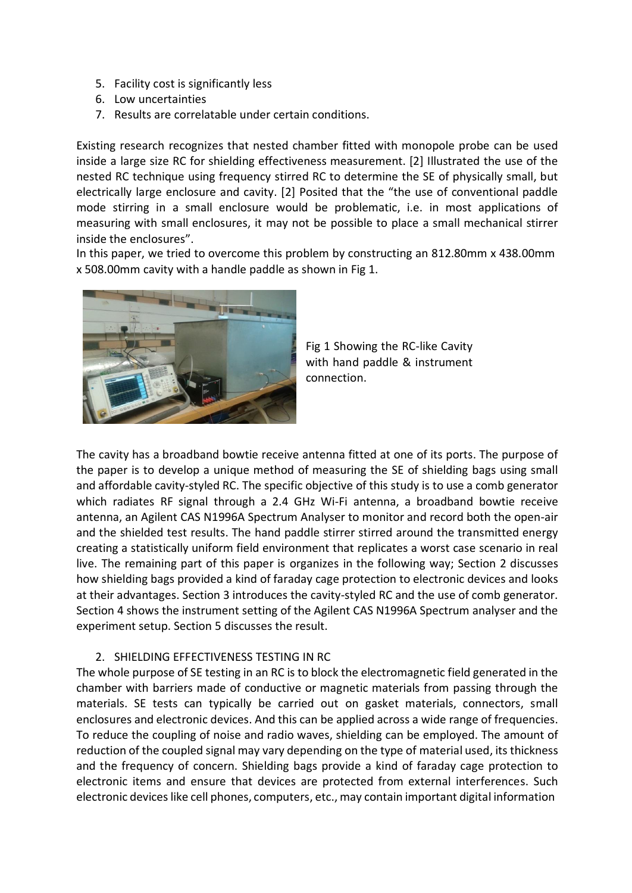- 5. Facility cost is significantly less
- 6. Low uncertainties
- 7. Results are correlatable under certain conditions.

Existing research recognizes that nested chamber fitted with monopole probe can be used inside a large size RC for shielding effectiveness measurement. [2] Illustrated the use of the nested RC technique using frequency stirred RC to determine the SE of physically small, but electrically large enclosure and cavity. [2] Posited that the "the use of conventional paddle mode stirring in a small enclosure would be problematic, i.e. in most applications of measuring with small enclosures, it may not be possible to place a small mechanical stirrer inside the enclosures".

In this paper, we tried to overcome this problem by constructing an 812.80mm x 438.00mm x 508.00mm cavity with a handle paddle as shown in Fig 1.



Fig 1 Showing the RC-like Cavity with hand paddle & instrument connection.

The cavity has a broadband bowtie receive antenna fitted at one of its ports. The purpose of the paper is to develop a unique method of measuring the SE of shielding bags using small and affordable cavity-styled RC. The specific objective of this study is to use a comb generator which radiates RF signal through a 2.4 GHz Wi-Fi antenna, a broadband bowtie receive antenna, an Agilent CAS N1996A Spectrum Analyser to monitor and record both the open-air and the shielded test results. The hand paddle stirrer stirred around the transmitted energy creating a statistically uniform field environment that replicates a worst case scenario in real live. The remaining part of this paper is organizes in the following way; Section 2 discusses how shielding bags provided a kind of faraday cage protection to electronic devices and looks at their advantages. Section 3 introduces the cavity-styled RC and the use of comb generator. Section 4 shows the instrument setting of the Agilent CAS N1996A Spectrum analyser and the experiment setup. Section 5 discusses the result.

# 2. SHIELDING EFFECTIVENESS TESTING IN RC

The whole purpose of SE testing in an RC is to block the electromagnetic field generated in the chamber with barriers made of conductive or magnetic materials from passing through the materials. SE tests can typically be carried out on gasket materials, connectors, small enclosures and electronic devices. And this can be applied across a wide range of frequencies. To reduce the coupling of noise and radio waves, shielding can be employed. The amount of reduction of the coupled signal may vary depending on the type of material used, its thickness and the frequency of concern. Shielding bags provide a kind of faraday cage protection to electronic items and ensure that devices are protected from external interferences. Such electronic devices like cell phones, computers, etc., may contain important digital information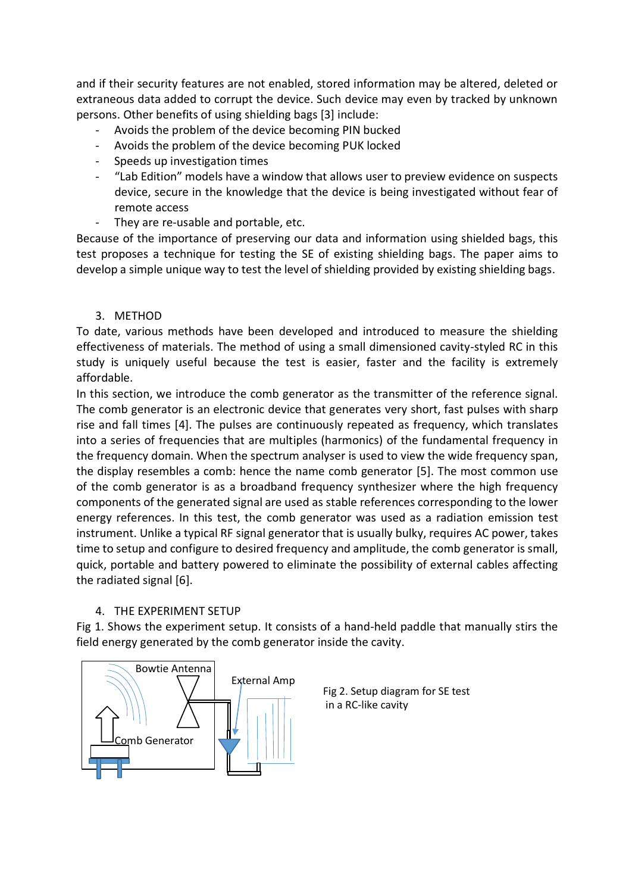and if their security features are not enabled, stored information may be altered, deleted or extraneous data added to corrupt the device. Such device may even by tracked by unknown persons. Other benefits of using shielding bags [3] include:

- Avoids the problem of the device becoming PIN bucked
- Avoids the problem of the device becoming PUK locked
- Speeds up investigation times
- "Lab Edition" models have a window that allows user to preview evidence on suspects device, secure in the knowledge that the device is being investigated without fear of remote access
- They are re-usable and portable, etc.

Because of the importance of preserving our data and information using shielded bags, this test proposes a technique for testing the SE of existing shielding bags. The paper aims to develop a simple unique way to test the level of shielding provided by existing shielding bags.

# 3. METHOD

To date, various methods have been developed and introduced to measure the shielding effectiveness of materials. The method of using a small dimensioned cavity-styled RC in this study is uniquely useful because the test is easier, faster and the facility is extremely affordable.

In this section, we introduce the comb generator as the transmitter of the reference signal. The comb generator is an electronic device that generates very short, fast pulses with sharp rise and fall times [4]. The pulses are continuously repeated as frequency, which translates into a series of frequencies that are multiples (harmonics) of the fundamental frequency in the frequency domain. When the spectrum analyser is used to view the wide frequency span, the display resembles a comb: hence the name comb generator [5]. The most common use of the comb generator is as a broadband frequency synthesizer where the high frequency components of the generated signal are used as stable references corresponding to the lower energy references. In this test, the comb generator was used as a radiation emission test instrument. Unlike a typical RF signal generator that is usually bulky, requires AC power, takes time to setup and configure to desired frequency and amplitude, the comb generator is small, quick, portable and battery powered to eliminate the possibility of external cables affecting the radiated signal [6].

# 4. THE EXPERIMENT SETUP

Fig 1. Shows the experiment setup. It consists of a hand-held paddle that manually stirs the field energy generated by the comb generator inside the cavity.



Fig 2. Setup diagram for SE test in a RC-like cavity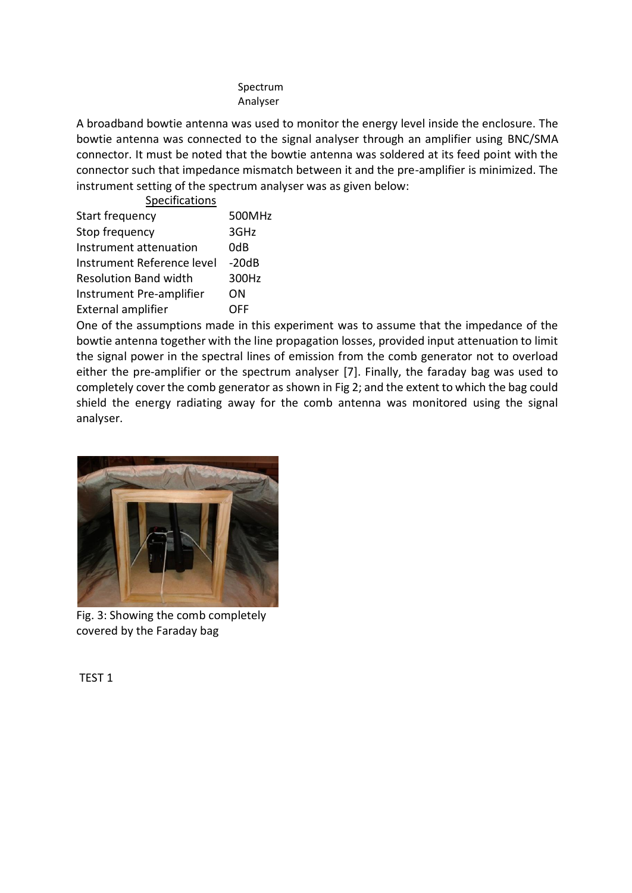#### Spectrum Analyser

A broadband bowtie antenna was used to monitor the energy level inside the enclosure. The bowtie antenna was connected to the signal analyser through an amplifier using BNC/SMA connector. It must be noted that the bowtie antenna was soldered at its feed point with the connector such that impedance mismatch between it and the pre-amplifier is minimized. The instrument setting of the spectrum analyser was as given below: Specifications

| <b>SPECIFICALIONS</b>        |            |
|------------------------------|------------|
| Start frequency              | 500MHz     |
| Stop frequency               | 3GHz       |
| Instrument attenuation       | 0dB        |
| Instrument Reference level   | $-20dB$    |
| <b>Resolution Band width</b> | 300Hz      |
| Instrument Pre-amplifier     | OΝ         |
| <b>External amplifier</b>    | <b>OFF</b> |
|                              |            |

One of the assumptions made in this experiment was to assume that the impedance of the bowtie antenna together with the line propagation losses, provided input attenuation to limit the signal power in the spectral lines of emission from the comb generator not to overload either the pre-amplifier or the spectrum analyser [7]. Finally, the faraday bag was used to completely cover the comb generator as shown in Fig 2; and the extent to which the bag could shield the energy radiating away for the comb antenna was monitored using the signal analyser.



Fig. 3: Showing the comb completely covered by the Faraday bag

TEST 1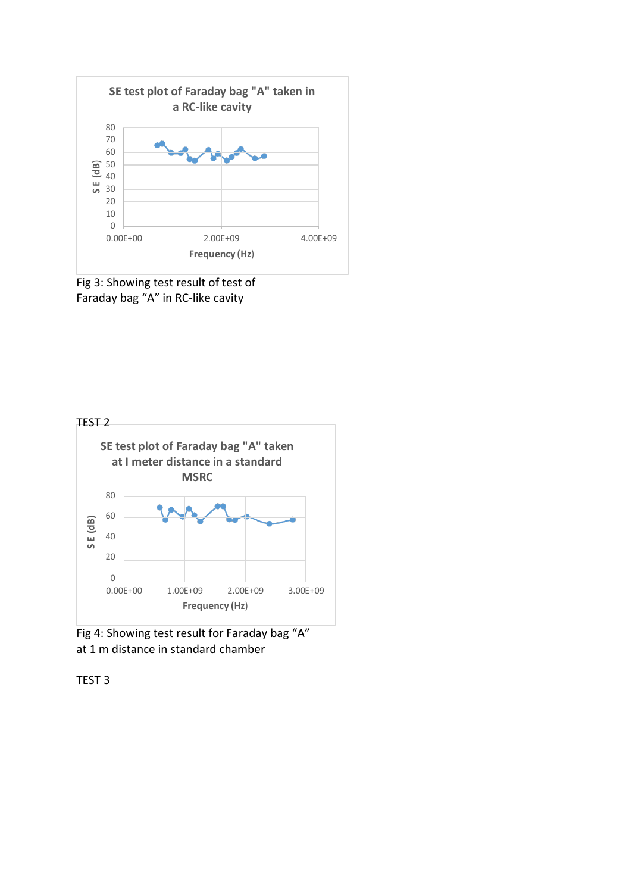

Fig 3: Showing test result of test of Faraday bag "A" in RC-like cavity





TEST 3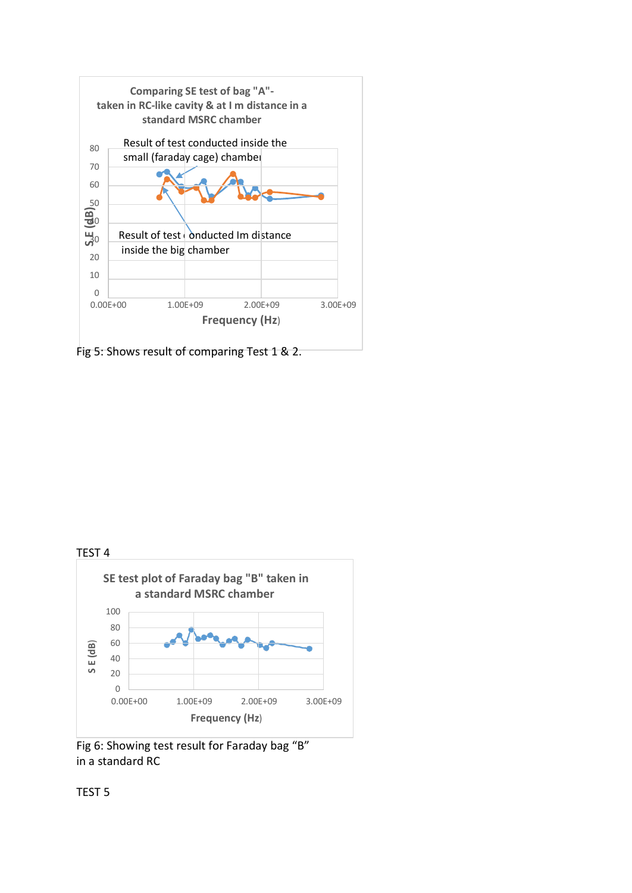

Fig 5: Shows result of comparing Test 1 & 2.



Fig 6: Showing test result for Faraday bag "B" in a standard RC

TEST 5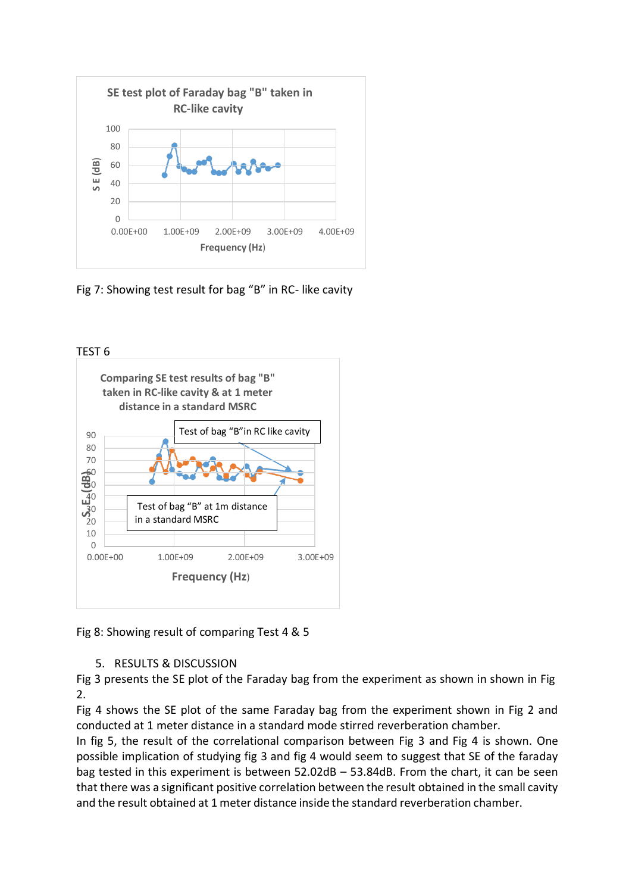

Fig 7: Showing test result for bag "B" in RC- like cavity



Fig 8: Showing result of comparing Test 4 & 5

# 5. RESULTS & DISCUSSION

Fig 3 presents the SE plot of the Faraday bag from the experiment as shown in shown in Fig  $\mathcal{L}$ 

Fig 4 shows the SE plot of the same Faraday bag from the experiment shown in Fig 2 and conducted at 1 meter distance in a standard mode stirred reverberation chamber.

In fig 5, the result of the correlational comparison between Fig 3 and Fig 4 is shown. One possible implication of studying fig 3 and fig 4 would seem to suggest that SE of the faraday bag tested in this experiment is between 52.02dB – 53.84dB. From the chart, it can be seen that there was a significant positive correlation between the result obtained in the small cavity and the result obtained at 1 meter distance inside the standard reverberation chamber.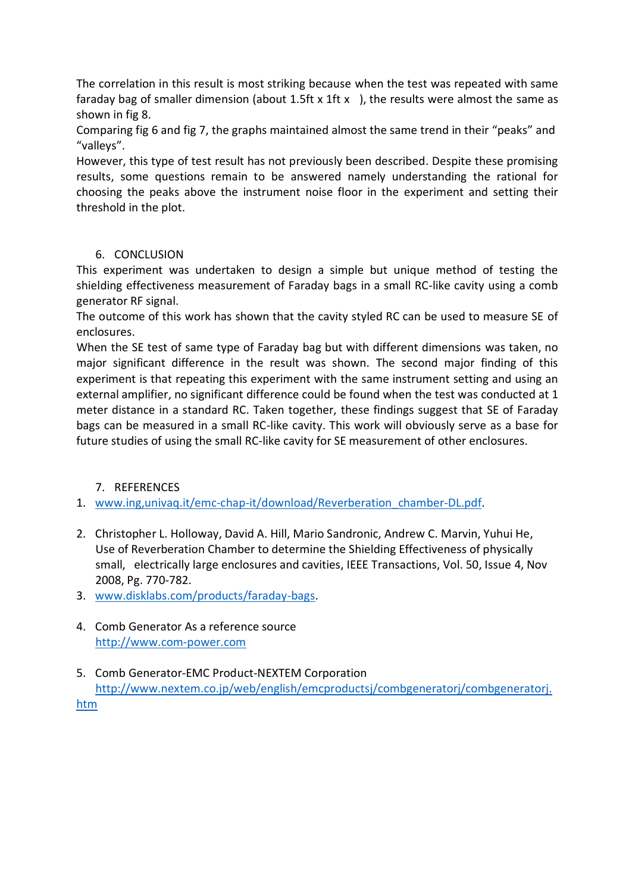The correlation in this result is most striking because when the test was repeated with same faraday bag of smaller dimension (about 1.5ft x 1ft x ), the results were almost the same as shown in fig 8.

Comparing fig 6 and fig 7, the graphs maintained almost the same trend in their "peaks" and "valleys".

However, this type of test result has not previously been described. Despite these promising results, some questions remain to be answered namely understanding the rational for choosing the peaks above the instrument noise floor in the experiment and setting their threshold in the plot.

#### 6. CONCLUSION

This experiment was undertaken to design a simple but unique method of testing the shielding effectiveness measurement of Faraday bags in a small RC-like cavity using a comb generator RF signal.

The outcome of this work has shown that the cavity styled RC can be used to measure SE of enclosures.

When the SE test of same type of Faraday bag but with different dimensions was taken, no major significant difference in the result was shown. The second major finding of this experiment is that repeating this experiment with the same instrument setting and using an external amplifier, no significant difference could be found when the test was conducted at 1 meter distance in a standard RC. Taken together, these findings suggest that SE of Faraday bags can be measured in a small RC-like cavity. This work will obviously serve as a base for future studies of using the small RC-like cavity for SE measurement of other enclosures.

# 7. REFERENCES

1. [www.ing,univaq.it/emc-chap-it/download/Reverberation\\_chamber-DL.pdf.](http://www.ing,univaq.it/emc-chap-it/download/Reverberation_chamber-DL.pdf)

- 2. Christopher L. Holloway, David A. Hill, Mario Sandronic, Andrew C. Marvin, Yuhui He, Use of Reverberation Chamber to determine the Shielding Effectiveness of physically small, electrically large enclosures and cavities, IEEE Transactions, Vol. 50, Issue 4, Nov 2008, Pg. 770-782.
- 3. [www.disklabs.com/products/faraday-bags.](http://www.disklabs.com/products/faraday-bags)
- 4. Comb Generator As a reference source [http://www.com-power.com](http://www.com-power.com/)
- 5. Comb Generator-EMC Product-NEXTEM Corporation [http://www.nextem.co.jp/web/english/emcproductsj/combgeneratorj/combgeneratorj.](http://www.nextem.co.jp/web/english/emcproductsj/combgeneratorj/combgeneratorj.htm) [htm](http://www.nextem.co.jp/web/english/emcproductsj/combgeneratorj/combgeneratorj.htm)